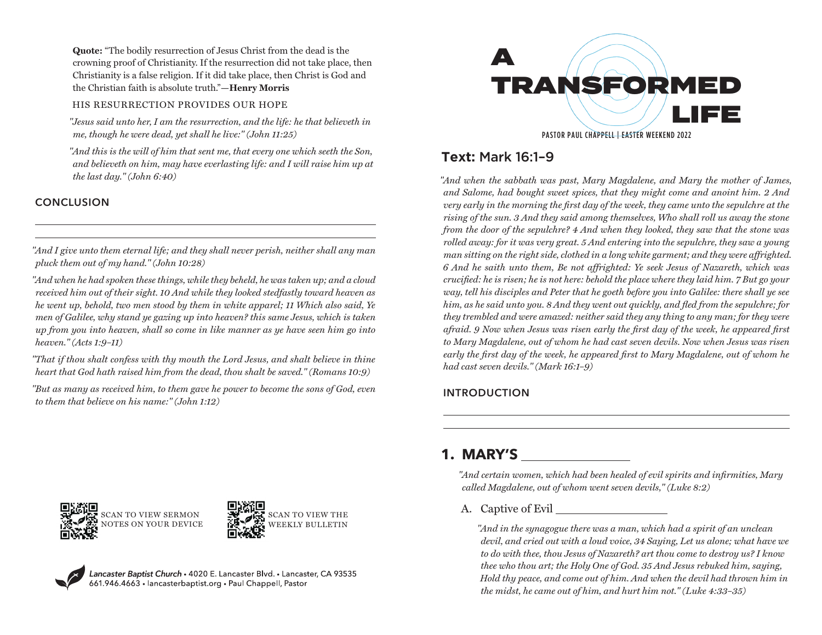**Quote:** "The bodily resurrection of Jesus Christ from the dead is the crowning proof of Christianity. If the resurrection did not take place, then Christianity is a false religion. If it did take place, then Christ is God and the Christian faith is absolute truth."**—Henry Morris**

### HIS RESURRECTION PROVIDES OUR HOPE

*"Jesus said unto her, I am the resurrection, and the life: he that believeth in me, though he were dead, yet shall he live:" (John 11:25)*

*"And this is the will of him that sent me, that every one which seeth the Son, and believeth on him, may have everlasting life: and I will raise him up at the last day." (John 6:40)*

## **CONCLUSION**

*"And I give unto them eternal life; and they shall never perish, neither shall any man pluck them out of my hand." (John 10:28)*

*"And when he had spoken these things, while they beheld, he was taken up; and a cloud received him out of their sight. 10 And while they looked stedfastly toward heaven as he went up, behold, two men stood by them in white apparel; 11 Which also said, Ye men of Galilee, why stand ye gazing up into heaven? this same Jesus, which is taken up from you into heaven, shall so come in like manner as ye have seen him go into heaven." (Acts 1:9–11)*

*"That if thou shalt confess with thy mouth the Lord Jesus, and shalt believe in thine heart that God hath raised him from the dead, thou shalt be saved." (Romans 10:9)*

*"But as many as received him, to them gave he power to become the sons of God, even to them that believe on his name:" (John 1:12)*



# **Text:** Mark 16:1–9

*"And when the sabbath was past, Mary Magdalene, and Mary the mother of James, and Salome, had bought sweet spices, that they might come and anoint him. 2 And very early in the morning the first day of the week, they came unto the sepulchre at the rising of the sun. 3 And they said among themselves, Who shall roll us away the stone from the door of the sepulchre? 4 And when they looked, they saw that the stone was rolled away: for it was very great. 5 And entering into the sepulchre, they saw a young man sitting on the right side, clothed in a long white garment; and they were affrighted. 6 And he saith unto them, Be not affrighted: Ye seek Jesus of Nazareth, which was crucified: he is risen; he is not here: behold the place where they laid him. 7 But go your way, tell his disciples and Peter that he goeth before you into Galilee: there shall ye see him, as he said unto you. 8 And they went out quickly, and fled from the sepulchre; for they trembled and were amazed: neither said they any thing to any man; for they were afraid. 9 Now when Jesus was risen early the first day of the week, he appeared first to Mary Magdalene, out of whom he had cast seven devils. Now when Jesus was risen early the first day of the week, he appeared first to Mary Magdalene, out of whom he had cast seven devils." (Mark 16:1–9)*

## **INTRODUCTION**





Lancaster Baptist Church • 4020 E. Lancaster Blvd. • Lancaster, CA 93535<br>661.946.4663 • lancasterbaptist.org • Paul Chappell, Pastor

# **1. MARY'S**

*"And certain women, which had been healed of evil spirits and infirmities, Mary called Magdalene, out of whom went seven devils," (Luke 8:2)*

A. Captive of Evil

*"And in the synagogue there was a man, which had a spirit of an unclean devil, and cried out with a loud voice, 34 Saying, Let us alone; what have we to do with thee, thou Jesus of Nazareth? art thou come to destroy us? I know thee who thou art; the Holy One of God. 35 And Jesus rebuked him, saying, Hold thy peace, and come out of him. And when the devil had thrown him in the midst, he came out of him, and hurt him not." (Luke 4:33–35)*